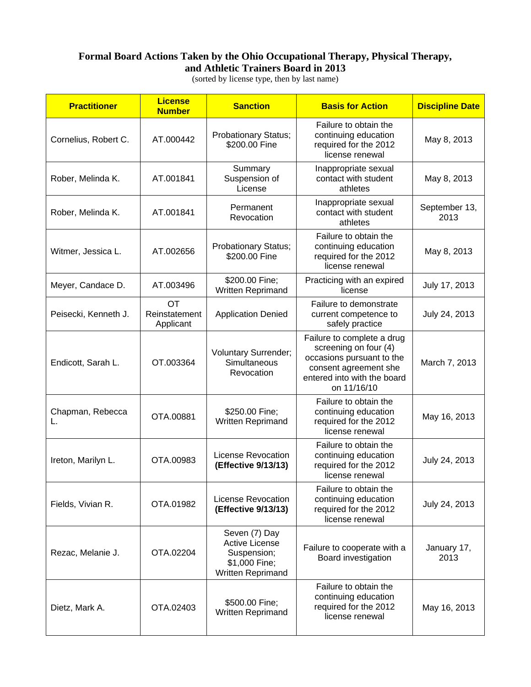## **Formal Board Actions Taken by the Ohio Occupational Therapy, Physical Therapy, and Athletic Trainers Board in 2013**

(sorted by license type, then by last name)

| <b>Practitioner</b>    | <b>License</b><br><b>Number</b>  | <b>Sanction</b>                                                                             | <b>Basis for Action</b>                                                                                                                                 | <b>Discipline Date</b> |
|------------------------|----------------------------------|---------------------------------------------------------------------------------------------|---------------------------------------------------------------------------------------------------------------------------------------------------------|------------------------|
| Cornelius, Robert C.   | AT.000442                        | Probationary Status;<br>\$200.00 Fine                                                       | Failure to obtain the<br>continuing education<br>required for the 2012<br>license renewal                                                               | May 8, 2013            |
| Rober, Melinda K.      | AT.001841                        | Summary<br>Suspension of<br>License                                                         | Inappropriate sexual<br>contact with student<br>athletes                                                                                                | May 8, 2013            |
| Rober, Melinda K.      | AT.001841                        | Permanent<br>Revocation                                                                     | Inappropriate sexual<br>contact with student<br>athletes                                                                                                | September 13,<br>2013  |
| Witmer, Jessica L.     | AT.002656                        | Probationary Status;<br>\$200.00 Fine                                                       | Failure to obtain the<br>continuing education<br>required for the 2012<br>license renewal                                                               | May 8, 2013            |
| Meyer, Candace D.      | AT.003496                        | \$200.00 Fine;<br>Written Reprimand                                                         | Practicing with an expired<br>license                                                                                                                   | July 17, 2013          |
| Peisecki, Kenneth J.   | ОT<br>Reinstatement<br>Applicant | <b>Application Denied</b>                                                                   | Failure to demonstrate<br>current competence to<br>safely practice                                                                                      | July 24, 2013          |
| Endicott, Sarah L.     | OT.003364                        | <b>Voluntary Surrender;</b><br>Simultaneous<br>Revocation                                   | Failure to complete a drug<br>screening on four (4)<br>occasions pursuant to the<br>consent agreement she<br>entered into with the board<br>on 11/16/10 | March 7, 2013          |
| Chapman, Rebecca<br>L. | OTA.00881                        | \$250.00 Fine;<br>Written Reprimand                                                         | Failure to obtain the<br>continuing education<br>required for the 2012<br>license renewal                                                               | May 16, 2013           |
| Ireton, Marilyn L.     | OTA.00983                        | License Revocation<br>(Effective 9/13/13)                                                   | Failure to obtain the<br>continuing education<br>required for the 2012<br>license renewal                                                               | July 24, 2013          |
| Fields, Vivian R.      | OTA.01982                        | License Revocation<br>(Effective 9/13/13)                                                   | Failure to obtain the<br>continuing education<br>required for the 2012<br>license renewal                                                               | July 24, 2013          |
| Rezac, Melanie J.      | OTA.02204                        | Seven (7) Day<br><b>Active License</b><br>Suspension;<br>\$1,000 Fine;<br>Written Reprimand | Failure to cooperate with a<br>Board investigation                                                                                                      | January 17,<br>2013    |
| Dietz, Mark A.         | OTA.02403                        | \$500.00 Fine;<br>Written Reprimand                                                         | Failure to obtain the<br>continuing education<br>required for the 2012<br>license renewal                                                               | May 16, 2013           |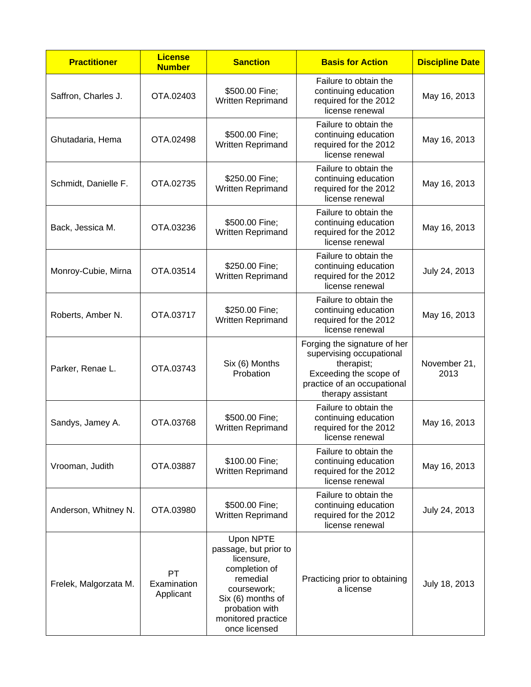| <b>Practitioner</b>   | <b>License</b><br><b>Number</b> | <b>Sanction</b>                                                                                                                                                            | <b>Basis for Action</b>                                                                                                                              | <b>Discipline Date</b> |
|-----------------------|---------------------------------|----------------------------------------------------------------------------------------------------------------------------------------------------------------------------|------------------------------------------------------------------------------------------------------------------------------------------------------|------------------------|
| Saffron, Charles J.   | OTA.02403                       | \$500.00 Fine;<br>Written Reprimand                                                                                                                                        | Failure to obtain the<br>continuing education<br>required for the 2012<br>license renewal                                                            | May 16, 2013           |
| Ghutadaria, Hema      | OTA.02498                       | \$500.00 Fine;<br>Written Reprimand                                                                                                                                        | Failure to obtain the<br>continuing education<br>required for the 2012<br>license renewal                                                            | May 16, 2013           |
| Schmidt, Danielle F.  | OTA.02735                       | \$250.00 Fine;<br>Written Reprimand                                                                                                                                        | Failure to obtain the<br>continuing education<br>required for the 2012<br>license renewal                                                            | May 16, 2013           |
| Back, Jessica M.      | OTA.03236                       | \$500.00 Fine;<br>Written Reprimand                                                                                                                                        | Failure to obtain the<br>continuing education<br>required for the 2012<br>license renewal                                                            | May 16, 2013           |
| Monroy-Cubie, Mirna   | OTA.03514                       | \$250.00 Fine;<br>Written Reprimand                                                                                                                                        | Failure to obtain the<br>continuing education<br>required for the 2012<br>license renewal                                                            | July 24, 2013          |
| Roberts, Amber N.     | OTA.03717                       | \$250.00 Fine;<br>Written Reprimand                                                                                                                                        | Failure to obtain the<br>continuing education<br>required for the 2012<br>license renewal                                                            | May 16, 2013           |
| Parker, Renae L.      | OTA.03743                       | Six (6) Months<br>Probation                                                                                                                                                | Forging the signature of her<br>supervising occupational<br>therapist;<br>Exceeding the scope of<br>practice of an occupational<br>therapy assistant | November 21,<br>2013   |
| Sandys, Jamey A.      | OTA.03768                       | \$500.00 Fine;<br>Written Reprimand                                                                                                                                        | Failure to obtain the<br>continuing education<br>required for the 2012<br>license renewal                                                            | May 16, 2013           |
| Vrooman, Judith       | OTA.03887                       | \$100.00 Fine;<br>Written Reprimand                                                                                                                                        | Failure to obtain the<br>continuing education<br>required for the 2012<br>license renewal                                                            | May 16, 2013           |
| Anderson, Whitney N.  | OTA.03980                       | \$500.00 Fine;<br>Written Reprimand                                                                                                                                        | Failure to obtain the<br>continuing education<br>required for the 2012<br>license renewal                                                            | July 24, 2013          |
| Frelek, Malgorzata M. | PT<br>Examination<br>Applicant  | Upon NPTE<br>passage, but prior to<br>licensure,<br>completion of<br>remedial<br>coursework;<br>Six (6) months of<br>probation with<br>monitored practice<br>once licensed | Practicing prior to obtaining<br>a license                                                                                                           | July 18, 2013          |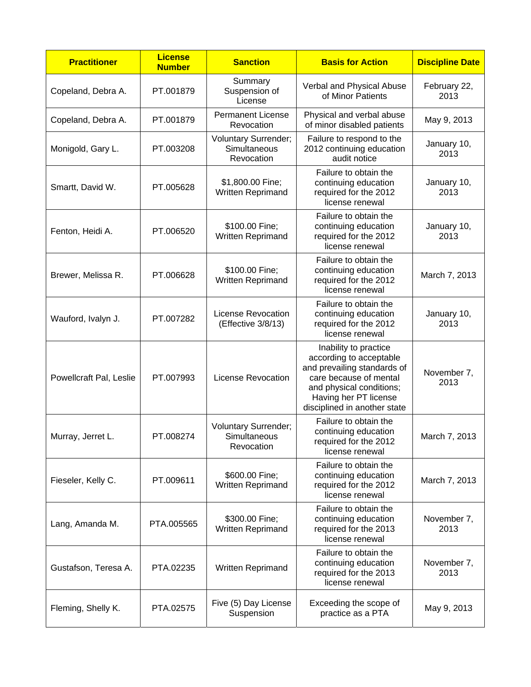| <b>Practitioner</b>     | <b>License</b><br><b>Number</b> | <b>Sanction</b>                                           | <b>Basis for Action</b>                                                                                                                                                                        | <b>Discipline Date</b> |
|-------------------------|---------------------------------|-----------------------------------------------------------|------------------------------------------------------------------------------------------------------------------------------------------------------------------------------------------------|------------------------|
| Copeland, Debra A.      | PT.001879                       | Summary<br>Suspension of<br>License                       | Verbal and Physical Abuse<br>of Minor Patients                                                                                                                                                 | February 22,<br>2013   |
| Copeland, Debra A.      | PT.001879                       | <b>Permanent License</b><br>Revocation                    | Physical and verbal abuse<br>of minor disabled patients                                                                                                                                        | May 9, 2013            |
| Monigold, Gary L.       | PT.003208                       | <b>Voluntary Surrender;</b><br>Simultaneous<br>Revocation | Failure to respond to the<br>2012 continuing education<br>audit notice                                                                                                                         | January 10,<br>2013    |
| Smartt, David W.        | PT.005628                       | \$1,800.00 Fine;<br>Written Reprimand                     | Failure to obtain the<br>continuing education<br>required for the 2012<br>license renewal                                                                                                      | January 10,<br>2013    |
| Fenton, Heidi A.        | PT.006520                       | \$100.00 Fine;<br>Written Reprimand                       | Failure to obtain the<br>continuing education<br>required for the 2012<br>license renewal                                                                                                      | January 10,<br>2013    |
| Brewer, Melissa R.      | PT.006628                       | \$100.00 Fine;<br>Written Reprimand                       | Failure to obtain the<br>continuing education<br>required for the 2012<br>license renewal                                                                                                      | March 7, 2013          |
| Wauford, Ivalyn J.      | PT.007282                       | <b>License Revocation</b><br>(Effective 3/8/13)           | Failure to obtain the<br>continuing education<br>required for the 2012<br>license renewal                                                                                                      | January 10,<br>2013    |
| Powellcraft Pal, Leslie | PT.007993                       | <b>License Revocation</b>                                 | Inability to practice<br>according to acceptable<br>and prevailing standards of<br>care because of mental<br>and physical conditions;<br>Having her PT license<br>disciplined in another state | November 7,<br>2013    |
| Murray, Jerret L.       | PT.008274                       | <b>Voluntary Surrender;</b><br>Simultaneous<br>Revocation | Failure to obtain the<br>continuing education<br>required for the 2012<br>license renewal                                                                                                      | March 7, 2013          |
| Fieseler, Kelly C.      | PT.009611                       | \$600.00 Fine;<br>Written Reprimand                       | Failure to obtain the<br>continuing education<br>required for the 2012<br>license renewal                                                                                                      | March 7, 2013          |
| Lang, Amanda M.         | PTA.005565                      | \$300.00 Fine;<br>Written Reprimand                       | Failure to obtain the<br>continuing education<br>required for the 2013<br>license renewal                                                                                                      | November 7,<br>2013    |
| Gustafson, Teresa A.    | PTA.02235                       | Written Reprimand                                         | Failure to obtain the<br>continuing education<br>required for the 2013<br>license renewal                                                                                                      | November 7,<br>2013    |
| Fleming, Shelly K.      | PTA.02575                       | Five (5) Day License<br>Suspension                        | Exceeding the scope of<br>practice as a PTA                                                                                                                                                    | May 9, 2013            |